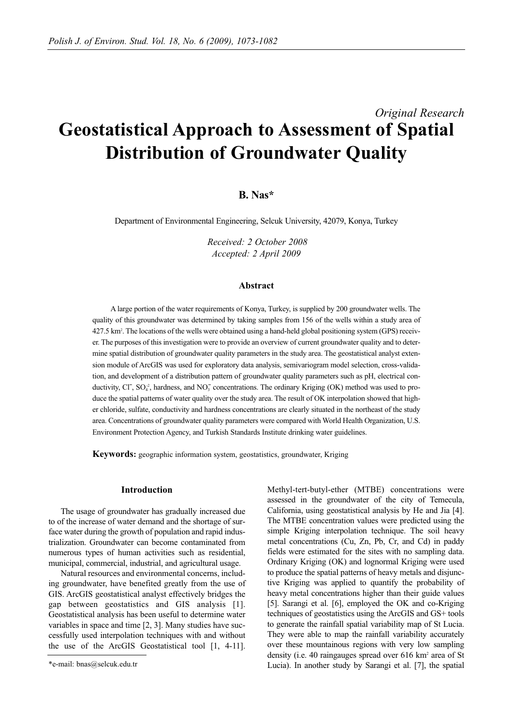# *Original Research* **Geostatistical Approach to Assessment of Spatial Distribution of Groundwater Quality**

# **B. Nas\***

Department of Environmental Engineering, Selcuk University, 42079, Konya, Turkey

*Received: 2 October 2008 Accepted: 2 April 2009*

#### **Abstract**

A large portion of the water requirements of Konya, Turkey, is supplied by 200 groundwater wells. The quality of this groundwater was determined by taking samples from 156 of the wells within a study area of 427.5 km2 . The locations of the wells were obtained using a hand-held global positioning system (GPS) receiver. The purposes of this investigation were to provide an overview of current groundwater quality and to determine spatial distribution of groundwater quality parameters in the study area. The geostatistical analyst extension module of ArcGIS was used for exploratory data analysis, semivariogram model selection, cross-validation, and development of a distribution pattern of groundwater quality parameters such as pH, electrical conductivity, Cl<sup>-</sup>, SO<sub>4</sub><sup>2</sup>, hardness, and NO<sub>3</sub><sup>2</sup> concentrations. The ordinary Kriging (OK) method was used to produce the spatial patterns of water quality over the study area. The result of OK interpolation showed that higher chloride, sulfate, conductivity and hardness concentrations are clearly situated in the northeast of the study area. Concentrations of groundwater quality parameters were compared with World Health Organization, U.S. Environment Protection Agency, and Turkish Standards Institute drinking water guidelines.

**Keywords:** geographic information system, geostatistics, groundwater, Kriging

#### **Introduction**

The usage of groundwater has gradually increased due to of the increase of water demand and the shortage of surface water during the growth of population and rapid industrialization. Groundwater can become contaminated from numerous types of human activities such as residential, municipal, commercial, industrial, and agricultural usage.

Natural resources and environmental concerns, including groundwater, have benefited greatly from the use of GIS. ArcGIS geostatistical analyst effectively bridges the gap between geostatistics and GIS analysis [1]. Geostatistical analysis has been useful to determine water variables in space and time [2, 3]. Many studies have successfully used interpolation techniques with and without the use of the ArcGIS Geostatistical tool [1, 4-11].

Methyl-tert-butyl-ether (MTBE) concentrations were assessed in the groundwater of the city of Temecula, California, using geostatistical analysis by He and Jia [4]. The MTBE concentration values were predicted using the simple Kriging interpolation technique. The soil heavy metal concentrations (Cu, Zn, Pb, Cr, and Cd) in paddy fields were estimated for the sites with no sampling data. Ordinary Kriging (OK) and lognormal Kriging were used to produce the spatial patterns of heavy metals and disjunctive Kriging was applied to quantify the probability of heavy metal concentrations higher than their guide values [5]. Sarangi et al. [6], employed the OK and co-Kriging techniques of geostatistics using the ArcGIS and GS+ tools to generate the rainfall spatial variability map of St Lucia. They were able to map the rainfall variability accurately over these mountainous regions with very low sampling density (i.e. 40 raingauges spread over 616 km<sup>2</sup> area of St Lucia). In another study by Sarangi et al. [7], the spatial

<sup>\*</sup>e-mail: bnas@selcuk.edu.tr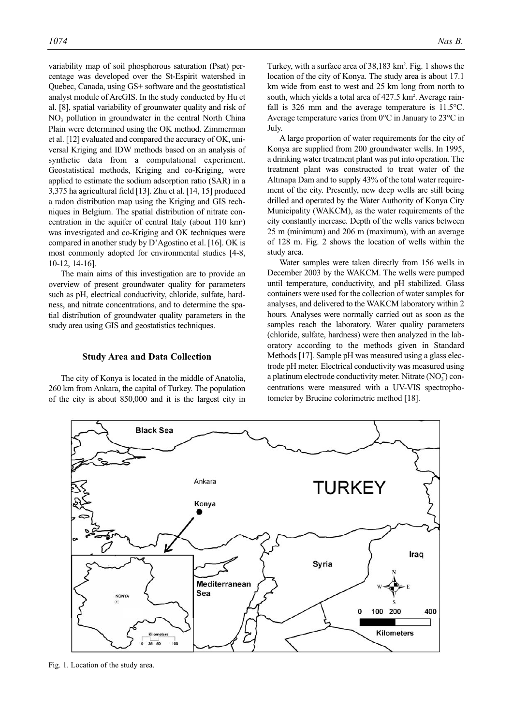variability map of soil phosphorous saturation (Psat) percentage was developed over the St-Espirit watershed in Quebec, Canada, using GS+ software and the geostatistical analyst module of ArcGIS. In the study conducted by Hu et al. [8], spatial variability of grounwater quality and risk of NO3 pollution in groundwater in the central North China Plain were determined using the OK method. Zimmerman et al. [12] evaluated and compared the accuracy of OK, universal Kriging and IDW methods based on an analysis of synthetic data from a computational experiment. Geostatistical methods, Kriging and co-Kriging, were applied to estimate the sodium adsorption ratio (SAR) in a 3,375 ha agricultural field [13]. Zhu et al. [14, 15] produced a radon distribution map using the Kriging and GIS techniques in Belgium. The spatial distribution of nitrate concentration in the aquifer of central Italy (about 110 km<sup>2</sup>) was investigated and co-Kriging and OK techniques were compared in another study by D'Agostino et al. [16]. OK is most commonly adopted for environmental studies [4-8, 10-12, 14-16].

The main aims of this investigation are to provide an overview of present groundwater quality for parameters such as pH, electrical conductivity, chloride, sulfate, hardness, and nitrate concentrations, and to determine the spatial distribution of groundwater quality parameters in the study area using GIS and geostatistics techniques.

#### **Study Area and Data Collection**

The city of Konya is located in the middle of Anatolia, 260 km from Ankara, the capital of Turkey. The population of the city is about 850,000 and it is the largest city in

Turkey, with a surface area of 38,183 km<sup>2</sup>. Fig. 1 shows the location of the city of Konya. The study area is about 17.1 km wide from east to west and 25 km long from north to south, which vields a total area of  $427.5 \text{ km}^2$ . Average rainfall is 326 mm and the average temperature is 11.5°C. Average temperature varies from 0°C in January to 23°C in July.

A large proportion of water requirements for the city of Konya are supplied from 200 groundwater wells. In 1995, a drinking water treatment plant was put into operation. The treatment plant was constructed to treat water of the Altınapa Dam and to supply 43% of the total water requirement of the city. Presently, new deep wells are still being drilled and operated by the Water Authority of Konya City Municipality (WAKCM), as the water requirements of the city constantly increase. Depth of the wells varies between 25 m (minimum) and 206 m (maximum), with an average of 128 m. Fig. 2 shows the location of wells within the study area.

Water samples were taken directly from 156 wells in December 2003 by the WAKCM. The wells were pumped until temperature, conductivity, and pH stabilized. Glass containers were used for the collection of water samples for analyses, and delivered to the WAKCM laboratory within 2 hours. Analyses were normally carried out as soon as the samples reach the laboratory. Water quality parameters (chloride, sulfate, hardness) were then analyzed in the laboratory according to the methods given in Standard Methods [17]. Sample pH was measured using a glass electrode pH meter. Electrical conductivity was measured using a platinum electrode conductivity meter. Nitrate  $(NO<sub>3</sub>)$  concentrations were measured with a UV-VIS spectrophotometer by Brucine colorimetric method [18].



Fig. 1. Location of the study area.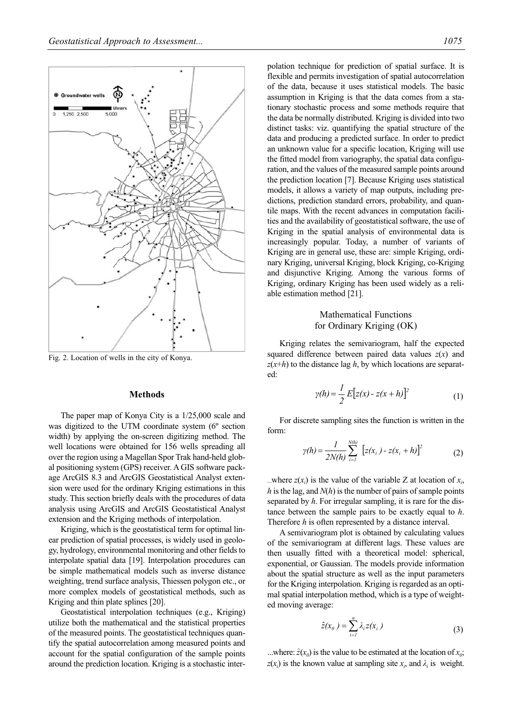

Fig. 2. Location of wells in the city of Konya.

# **Methods**

The paper map of Konya City is a 1/25,000 scale and was digitized to the UTM coordinate system (6º section width) by applying the on-screen digitizing method. The well locations were obtained for 156 wells spreading all over the region using a Magellan Spor Trak hand-held global positioning system (GPS) receiver. A GIS software package ArcGIS 8.3 and ArcGIS Geostatistical Analyst extension were used for the ordinary Kriging estimations in this study. This section briefly deals with the procedures of data analysis using ArcGIS and ArcGIS Geostatistical Analyst extension and the Kriging methods of interpolation.

Kriging, which is the geostatistical term for optimal linear prediction of spatial processes, is widely used in geology, hydrology, environmental monitoring and other fields to interpolate spatial data [19]. Interpolation procedures can be simple mathematical models such as inverse distance weighting, trend surface analysis, Thiessen polygon etc., or more complex models of geostatistical methods, such as Kriging and thin plate splines [20].

Geostatistical interpolation techniques (e.g., Kriging) utilize both the mathematical and the statistical properties of the measured points. The geostatistical techniques quantify the spatial autocorrelation among measured points and account for the spatial configuration of the sample points around the prediction location. Kriging is a stochastic interpolation technique for prediction of spatial surface. It is flexible and permits investigation of spatial autocorrelation of the data, because it uses statistical models. The basic assumption in Kriging is that the data comes from a stationary stochastic process and some methods require that the data be normally distributed. Kriging is divided into two distinct tasks: viz. quantifying the spatial structure of the data and producing a predicted surface. In order to predict an unknown value for a specific location, Kriging will use the fitted model from variography, the spatial data configuration, and the values of the measured sample points around the prediction location [7]. Because Kriging uses statistical models, it allows a variety of map outputs, including predictions, prediction standard errors, probability, and quantile maps. With the recent advances in computation facilities and the availability of geostatistical software, the use of Kriging in the spatial analysis of environmental data is increasingly popular. Today, a number of variants of Kriging are in general use, these are: simple Kriging, ordinary Kriging, universal Kriging, block Kriging, co-Kriging and disjunctive Kriging. Among the various forms of Kriging, ordinary Kriging has been used widely as a reliable estimation method [21].

# Mathematical Functions for Ordinary Kriging (OK)

Kriging relates the semivariogram, half the expected squared difference between paired data values  $z(x)$  and  $z(x+h)$  to the distance lag *h*, by which locations are separated:

$$
\gamma(h) = \frac{1}{2} E[z(x) - z(x+h)]^2
$$
 (1)

For discrete sampling sites the function is written in the form:

$$
\gamma(h) = \frac{1}{2N(h)} \sum_{i=1}^{N(h)} [z(x_i) - z(x_i + h)]^2
$$
 (2)

...where  $z(x_i)$  is the value of the variable Z at location of  $x_i$ , *h* is the lag, and  $N(h)$  is the number of pairs of sample points separated by *h*. For irregular sampling, it is rare for the distance between the sample pairs to be exactly equal to *h*. Therefore *h* is often represented by a distance interval.

A semivariogram plot is obtained by calculating values of the semivariogram at different lags. These values are then usually fitted with a theoretical model: spherical, exponential, or Gaussian. The models provide information about the spatial structure as well as the input parameters for the Kriging interpolation. Kriging is regarded as an optimal spatial interpolation method, which is a type of weighted moving average:

$$
\hat{z}(x_0) = \sum_{i=1}^n \lambda_i z(x_i)
$$
 (3)

...where:  $\hat{z}(x_0)$  is the value to be estimated at the location of  $x_0$ ;  $z(x_i)$  is the known value at sampling site  $x_i$ , and  $\lambda_i$  is weight.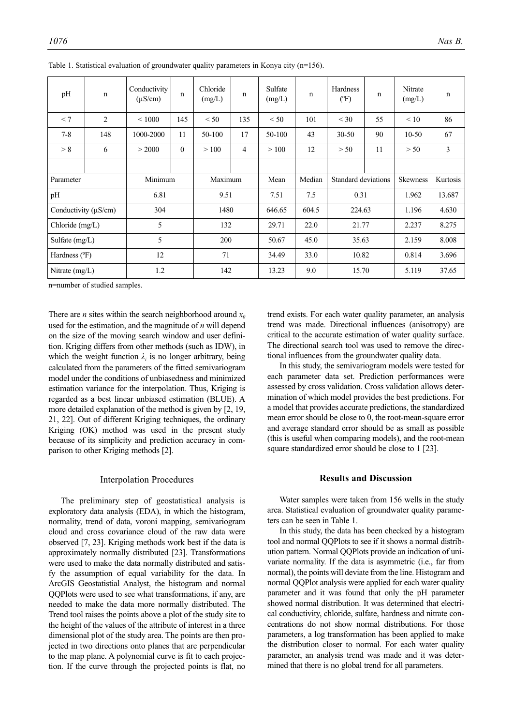| pH                   | $\mathbf n$    | Conductivity<br>$(\mu S/cm)$ | n              | Chloride<br>(mg/L) | n              | Sulfate<br>(mg/L) | n      | Hardness<br>(PF)    | $\mathbf n$ | Nitrate<br>(mg/L) | n        |
|----------------------|----------------|------------------------------|----------------|--------------------|----------------|-------------------|--------|---------------------|-------------|-------------------|----------|
| < 7                  | $\overline{c}$ | ${}< 1000$                   | 145            | < 50               | 135            | < 50              | 101    | $<$ 30              | 55          | < 10              | 86       |
| $7 - 8$              | 148            | 1000-2000                    | 11             | 50-100             | 17             | 50-100            | 43     | $30 - 50$           | 90          | $10-50$           | 67       |
| > 8                  | 6              | > 2000                       | $\overline{0}$ | >100               | $\overline{4}$ | >100              | 12     | > 50                | 11          | > 50              | 3        |
|                      |                |                              |                |                    |                |                   |        |                     |             |                   |          |
| Parameter            |                | Minimum                      |                | Maximum            |                | Mean              | Median | Standard deviations |             | Skewness          | Kurtosis |
| pH                   |                | 6.81                         |                | 9.51               |                | 7.51              | 7.5    | 0.31                |             | 1.962             | 13.687   |
| Conductivity (µS/cm) |                | 304                          |                |                    | 1480           | 646.65            | 604.5  | 224.63              |             | 1.196             | 4.630    |
| Chloride $(mg/L)$    |                | 5                            |                | 132                |                | 29.71             | 22.0   | 21.77               |             | 2.237             | 8.275    |
| Sulfate $(mg/L)$     |                | 5                            |                | 200                |                | 50.67             | 45.0   | 35.63               |             | 2.159             | 8.008    |
| Hardness (°F)        |                | 12                           |                | 71                 |                |                   | 33.0   | 10.82               |             | 0.814             | 3.696    |
| Nitrate $(mg/L)$     |                | 1.2                          |                | 142                |                | 13.23             | 9.0    | 15.70               |             | 5.119             | 37.65    |

Table 1. Statistical evaluation of groundwater quality parameters in Konya city (n=156).

n=number of studied samples.

There are *n* sites within the search neighborhood around  $x_0$ used for the estimation, and the magnitude of *n* will depend on the size of the moving search window and user definition. Kriging differs from other methods (such as IDW), in which the weight function  $\lambda_i$  is no longer arbitrary, being calculated from the parameters of the fitted semivariogram model under the conditions of unbiasedness and minimized estimation variance for the interpolation. Thus, Kriging is regarded as a best linear unbiased estimation (BLUE). A more detailed explanation of the method is given by [2, 19, 21, 22]. Out of different Kriging techniques, the ordinary Kriging (OK) method was used in the present study because of its simplicity and prediction accuracy in comparison to other Kriging methods [2].

#### Interpolation Procedures

The preliminary step of geostatistical analysis is exploratory data analysis (EDA), in which the histogram, normality, trend of data, voroni mapping, semivariogram cloud and cross covariance cloud of the raw data were observed [7, 23]. Kriging methods work best if the data is approximately normally distributed [23]. Transformations were used to make the data normally distributed and satisfy the assumption of equal variability for the data. In ArcGIS Geostatistial Analyst, the histogram and normal QQPlots were used to see what transformations, if any, are needed to make the data more normally distributed. The Trend tool raises the points above a plot of the study site to the height of the values of the attribute of interest in a three dimensional plot of the study area. The points are then projected in two directions onto planes that are perpendicular to the map plane. A polynomial curve is fit to each projection. If the curve through the projected points is flat, no trend exists. For each water quality parameter, an analysis trend was made. Directional influences (anisotropy) are critical to the accurate estimation of water quality surface. The directional search tool was used to remove the directional influences from the groundwater quality data.

In this study, the semivariogram models were tested for each parameter data set. Prediction performances were assessed by cross validation. Cross validation allows determination of which model provides the best predictions. For a model that provides accurate predictions, the standardized mean error should be close to 0, the root-mean-square error and average standard error should be as small as possible (this is useful when comparing models), and the root-mean square standardized error should be close to 1 [23].

# **Results and Discussion**

Water samples were taken from 156 wells in the study area. Statistical evaluation of groundwater quality parameters can be seen in Table 1.

In this study, the data has been checked by a histogram tool and normal QQPlots to see if it shows a normal distribution pattern. Normal QQPlots provide an indication of univariate normality. If the data is asymmetric (i.e., far from normal), the points will deviate from the line. Histogram and normal QQPlot analysis were applied for each water quality parameter and it was found that only the pH parameter showed normal distribution. It was determined that electrical conductivity, chloride, sulfate, hardness and nitrate concentrations do not show normal distributions. For those parameters, a log transformation has been applied to make the distribution closer to normal. For each water quality parameter, an analysis trend was made and it was determined that there is no global trend for all parameters.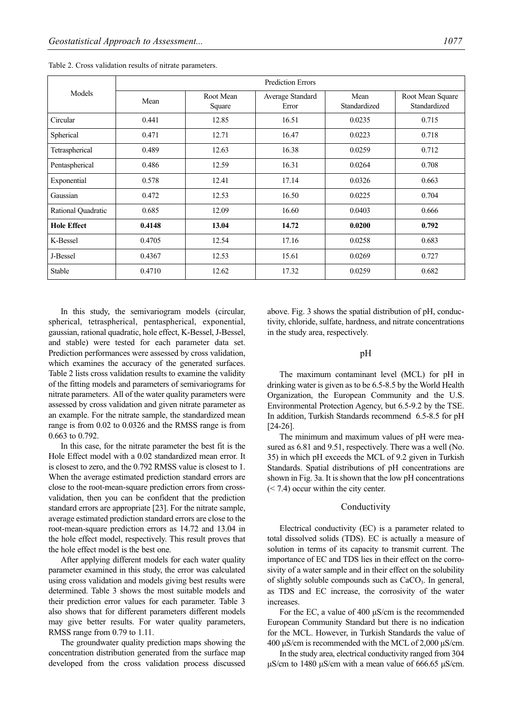|                    | <b>Prediction Errors</b> |                     |                           |                      |                                  |  |  |  |
|--------------------|--------------------------|---------------------|---------------------------|----------------------|----------------------------------|--|--|--|
| Models             | Mean                     | Root Mean<br>Square | Average Standard<br>Error | Mean<br>Standardized | Root Mean Square<br>Standardized |  |  |  |
| Circular           | 0.441                    | 12.85               | 16.51                     | 0.0235               | 0.715                            |  |  |  |
| Spherical          | 0.471                    | 12.71               | 16.47                     | 0.0223               | 0.718                            |  |  |  |
| Tetraspherical     | 0.489                    | 12.63               | 16.38                     | 0.0259               | 0.712                            |  |  |  |
| Pentaspherical     | 0.486                    | 12.59               | 16.31                     | 0.0264               | 0.708                            |  |  |  |
| Exponential        | 0.578                    | 12.41               | 17.14                     | 0.0326               | 0.663                            |  |  |  |
| Gaussian           | 0.472                    | 12.53               | 16.50                     | 0.0225               | 0.704                            |  |  |  |
| Rational Quadratic | 0.685                    | 12.09               | 16.60                     | 0.0403               | 0.666                            |  |  |  |
| <b>Hole Effect</b> | 0.4148                   | 13.04               | 14.72                     | 0.0200               | 0.792                            |  |  |  |
| K-Bessel           | 0.4705                   | 12.54               | 17.16                     | 0.0258               | 0.683                            |  |  |  |
| J-Bessel           | 0.4367                   | 12.53               | 15.61                     | 0.0269               | 0.727                            |  |  |  |
| Stable             | 0.4710                   | 12.62               | 17.32                     | 0.0259               | 0.682                            |  |  |  |

Table 2. Cross validation results of nitrate parameters.

In this study, the semivariogram models (circular, spherical, tetraspherical, pentaspherical, exponential, gaussian, rational quadratic, hole effect, K-Bessel, J-Bessel, and stable) were tested for each parameter data set. Prediction performances were assessed by cross validation, which examines the accuracy of the generated surfaces. Table 2 lists cross validation results to examine the validity of the fitting models and parameters of semivariograms for nitrate parameters. All of the water quality parameters were assessed by cross validation and given nitrate parameter as an example. For the nitrate sample, the standardized mean range is from 0.02 to 0.0326 and the RMSS range is from 0.663 to 0.792.

In this case, for the nitrate parameter the best fit is the Hole Effect model with a 0.02 standardized mean error. It is closest to zero, and the 0.792 RMSS value is closest to 1. When the average estimated prediction standard errors are close to the root-mean-square prediction errors from crossvalidation, then you can be confident that the prediction standard errors are appropriate [23]. For the nitrate sample, average estimated prediction standard errors are close to the root-mean-square prediction errors as 14.72 and 13.04 in the hole effect model, respectively. This result proves that the hole effect model is the best one.

After applying different models for each water quality parameter examined in this study, the error was calculated using cross validation and models giving best results were determined. Table 3 shows the most suitable models and their prediction error values for each parameter. Table 3 also shows that for different parameters different models may give better results. For water quality parameters, RMSS range from 0.79 to 1.11.

The groundwater quality prediction maps showing the concentration distribution generated from the surface map developed from the cross validation process discussed above. Fig. 3 shows the spatial distribution of pH, conductivity, chloride, sulfate, hardness, and nitrate concentrations in the study area, respectively.

#### pH

The maximum contaminant level (MCL) for pH in drinking water is given as to be 6.5-8.5 by the World Health Organization, the European Community and the U.S. Environmental Protection Agency, but 6.5-9.2 by the TSE. In addition, Turkish Standards recommend 6.5-8.5 for pH [24-26].

The minimum and maximum values of pH were measured as 6.81 and 9.51, respectively. There was a well (No. 35) in which pH exceeds the MCL of 9.2 given in Turkish Standards. Spatial distributions of pH concentrations are shown in Fig. 3a. It is shown that the low pH concentrations (< 7.4) occur within the city center.

#### Conductivity

Electrical conductivity (EC) is a parameter related to total dissolved solids (TDS). EC is actually a measure of solution in terms of its capacity to transmit current. The importance of EC and TDS lies in their effect on the corrosivity of a water sample and in their effect on the solubility of slightly soluble compounds such as  $CaCO<sub>3</sub>$ . In general, as TDS and EC increase, the corrosivity of the water increases.

For the EC, a value of 400 μS/cm is the recommended European Community Standard but there is no indication for the MCL. However, in Turkish Standards the value of 400 μS/cm is recommended with the MCL of 2,000 μS/cm.

In the study area, electrical conductivity ranged from 304 μS/cm to 1480 μS/cm with a mean value of 666.65 μS/cm.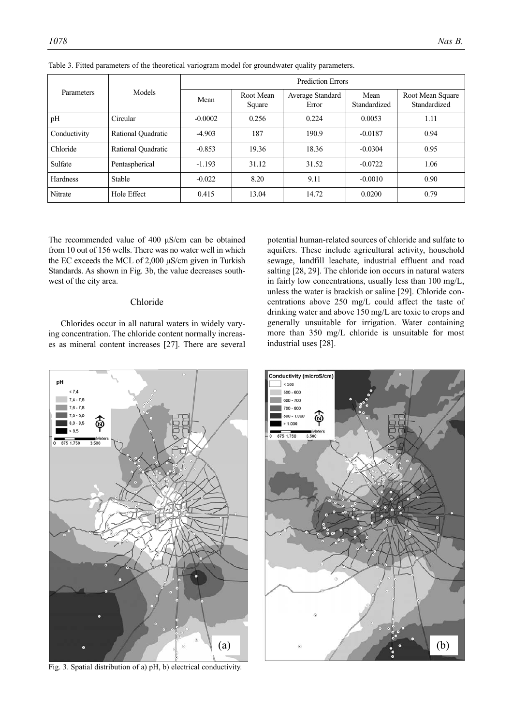|                   |                    | <b>Prediction Errors</b> |                     |                           |                      |                                  |  |  |
|-------------------|--------------------|--------------------------|---------------------|---------------------------|----------------------|----------------------------------|--|--|
| <b>Parameters</b> | Models             | Mean                     | Root Mean<br>Square | Average Standard<br>Error | Mean<br>Standardized | Root Mean Square<br>Standardized |  |  |
| pH                | Circular           | $-0.0002$                | 0.256               | 0.224                     | 0.0053               | 1.11                             |  |  |
| Conductivity      | Rational Quadratic | $-4.903$                 | 187                 | 190.9                     | $-0.0187$            | 0.94                             |  |  |
| Chloride          | Rational Quadratic | $-0.853$                 | 19.36               | 18.36                     | $-0.0304$            | 0.95                             |  |  |
| Sulfate           | Pentaspherical     | $-1.193$                 | 31.12               | 31.52                     | $-0.0722$            | 1.06                             |  |  |
| Hardness          | <b>Stable</b>      | $-0.022$                 | 8.20                | 9.11                      | $-0.0010$            | 0.90                             |  |  |
| Nitrate           | Hole Effect        | 0.415                    | 13.04               | 14.72                     | 0.0200               | 0.79                             |  |  |

Table 3. Fitted parameters of the theoretical variogram model for groundwater quality parameters.

The recommended value of 400 μS/cm can be obtained from 10 out of 156 wells. There was no water well in which the EC exceeds the MCL of 2,000 μS/cm given in Turkish Standards. As shown in Fig. 3b, the value decreases southwest of the city area.

### Chloride

Chlorides occur in all natural waters in widely varying concentration. The chloride content normally increases as mineral content increases [27]. There are several





Fig. 3. Spatial distribution of a) pH, b) electrical conductivity.

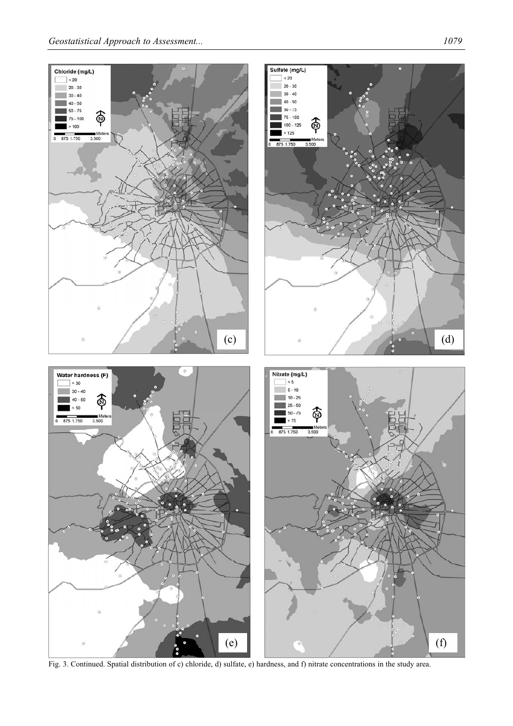

Fig. 3. Continued. Spatial distribution of c) chloride, d) sulfate, e) hardness, and f) nitrate concentrations in the study area.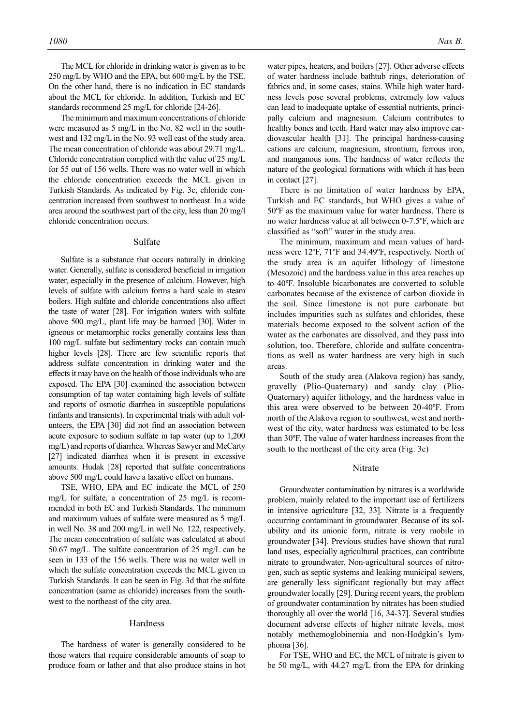The MCL for chloride in drinking water is given as to be 250 mg/L by WHO and the EPA, but 600 mg/L by the TSE. On the other hand, there is no indication in EC standards about the MCL for chloride. In addition, Turkish and EC standards recommend 25 mg/L for chloride [24-26].

The minimum and maximum concentrations of chloride were measured as 5 mg/L in the No. 82 well in the southwest and 132 mg/L in the No. 93 well east of the study area. The mean concentration of chloride was about 29.71 mg/L. Chloride concentration complied with the value of 25 mg/L for 55 out of 156 wells. There was no water well in which the chloride concentration exceeds the MCL given in Turkish Standards. As indicated by Fig. 3c, chloride concentration increased from southwest to northeast. In a wide area around the southwest part of the city, less than 20 mg/l chloride concentration occurs.

#### Sulfate

Sulfate is a substance that occurs naturally in drinking water. Generally, sulfate is considered beneficial in irrigation water, especially in the presence of calcium. However, high levels of sulfate with calcium forms a hard scale in steam boilers. High sulfate and chloride concentrations also affect the taste of water [28]. For irrigation waters with sulfate above 500 mg/L, plant life may be harmed [30]. Water in igneous or metamorphic rocks generally contains less than 100 mg/L sulfate but sedimentary rocks can contain much higher levels [28]. There are few scientific reports that address sulfate concentration in drinking water and the effects it may have on the health of those individuals who are exposed. The EPA [30] examined the association between consumption of tap water containing high levels of sulfate and reports of osmotic diarrhea in susceptible populations (infants and transients). In experimental trials with adult volunteers, the EPA [30] did not find an association between acute exposure to sodium sulfate in tap water (up to 1,200 mg/L) and reports of diarrhea. Whereas Sawyer and McCarty [27] indicated diarrhea when it is present in excessive amounts. Hudak [28] reported that sulfate concentrations above 500 mg/L could have a laxative effect on humans.

TSE, WHO, EPA and EC indicate the MCL of 250 mg/L for sulfate, a concentration of 25 mg/L is recommended in both EC and Turkish Standards. The minimum and maximum values of sulfate were measured as 5 mg/L in well No. 38 and 200 mg/L in well No. 122, respectively. The mean concentration of sulfate was calculated at about 50.67 mg/L. The sulfate concentration of 25 mg/L can be seen in 133 of the 156 wells. There was no water well in which the sulfate concentration exceeds the MCL given in Turkish Standards. It can be seen in Fig. 3d that the sulfate concentration (same as chloride) increases from the southwest to the northeast of the city area.

#### Hardness

The hardness of water is generally considered to be those waters that require considerable amounts of soap to produce foam or lather and that also produce stains in hot water pipes, heaters, and boilers [27]. Other adverse effects of water hardness include bathtub rings, deterioration of fabrics and, in some cases, stains. While high water hardness levels pose several problems, extremely low values can lead to inadequate uptake of essential nutrients, principally calcium and magnesium. Calcium contributes to healthy bones and teeth. Hard water may also improve cardiovascular health [31]. The principal hardness-causing cations are calcium, magnesium, strontium, ferrous iron, and manganous ions. The hardness of water reflects the nature of the geological formations with which it has been in contact [27].

There is no limitation of water hardness by EPA, Turkish and EC standards, but WHO gives a value of 50ºF as the maximum value for water hardness. There is no water hardness value at all between 0-7.5ºF, which are classified as "soft" water in the study area.

The minimum, maximum and mean values of hardness were 12ºF, 71ºF and 34.49ºF, respectively. North of the study area is an aquifer lithology of limestone (Mesozoic) and the hardness value in this area reaches up to 40ºF. Insoluble bicarbonates are converted to soluble carbonates because of the existence of carbon dioxide in the soil. Since limestone is not pure carbonate but includes impurities such as sulfates and chlorides, these materials become exposed to the solvent action of the water as the carbonates are dissolved, and they pass into solution, too. Therefore, chloride and sulfate concentrations as well as water hardness are very high in such areas.

South of the study area (Alakova region) has sandy, gravelly (Plio-Quaternary) and sandy clay (Plio-Quaternary) aquifer lithology, and the hardness value in this area were observed to be between 20-40ºF. From north of the Alakova region to southwest, west and northwest of the city, water hardness was estimated to be less than 30ºF. The value of water hardness increases from the south to the northeast of the city area (Fig. 3e)

#### Nitrate

Groundwater contamination by nitrates is a worldwide problem, mainly related to the important use of fertilizers in intensive agriculture [32, 33]. Nitrate is a frequently occurring contaminant in groundwater. Because of its solubility and its anionic form, nitrate is very mobile in groundwater [34]. Previous studies have shown that rural land uses, especially agricultural practices, can contribute nitrate to groundwater. Non-agricultural sources of nitrogen, such as septic systems and leaking municipal sewers, are generally less significant regionally but may affect groundwater locally [29]. During recent years, the problem of groundwater contamination by nitrates has been studied thoroughly all over the world [16, 34-37]. Several studies document adverse effects of higher nitrate levels, most notably methemoglobinemia and non-Hodgkin's lymphoma [36].

For TSE, WHO and EC, the MCL of nitrate is given to be 50 mg/L, with 44.27 mg/L from the EPA for drinking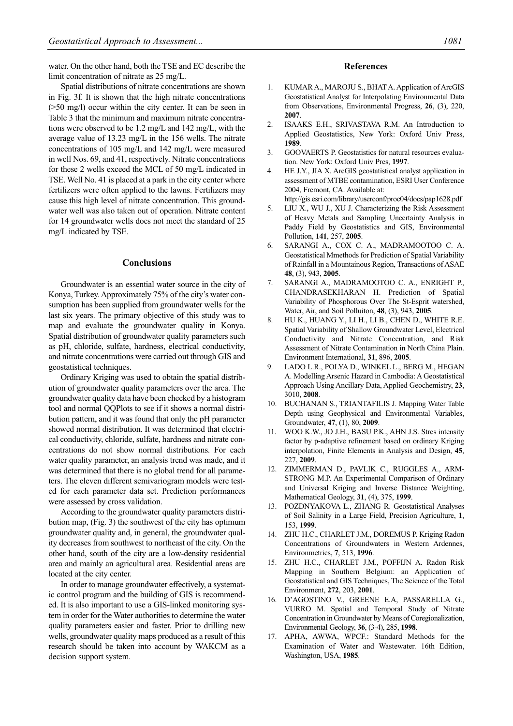water. On the other hand, both the TSE and EC describe the limit concentration of nitrate as 25 mg/L.

Spatial distributions of nitrate concentrations are shown in Fig. 3f. It is shown that the high nitrate concentrations (>50 mg/l) occur within the city center. It can be seen in Table 3 that the minimum and maximum nitrate concentrations were observed to be 1.2 mg/L and 142 mg/L, with the average value of 13.23 mg/L in the 156 wells. The nitrate concentrations of 105 mg/L and 142 mg/L were measured in well Nos. 69, and 41, respectively. Nitrate concentrations for these 2 wells exceed the MCL of 50 mg/L indicated in TSE. Well No. 41 is placed at a park in the city center where fertilizers were often applied to the lawns. Fertilizers may cause this high level of nitrate concentration. This groundwater well was also taken out of operation. Nitrate content for 14 groundwater wells does not meet the standard of 25 mg/L indicated by TSE.

#### **Conclusions**

Groundwater is an essential water source in the city of Konya, Turkey. Approximately 75% of the city's water consumption has been supplied from groundwater wells for the last six years. The primary objective of this study was to map and evaluate the groundwater quality in Konya. Spatial distribution of groundwater quality parameters such as pH, chloride, sulfate, hardness, electrical conductivity, and nitrate concentrations were carried out through GIS and geostatistical techniques.

Ordinary Kriging was used to obtain the spatial distribution of groundwater quality parameters over the area. The groundwater quality data have been checked by a histogram tool and normal QQPlots to see if it shows a normal distribution pattern, and it was found that only the pH parameter showed normal distribution. It was determined that electrical conductivity, chloride, sulfate, hardness and nitrate concentrations do not show normal distributions. For each water quality parameter, an analysis trend was made, and it was determined that there is no global trend for all parameters. The eleven different semivariogram models were tested for each parameter data set. Prediction performances were assessed by cross validation.

According to the groundwater quality parameters distribution map, (Fig. 3) the southwest of the city has optimum groundwater quality and, in general, the groundwater quality decreases from southwest to northeast of the city. On the other hand, south of the city are a low-density residential area and mainly an agricultural area. Residential areas are located at the city center.

In order to manage groundwater effectively, a systematic control program and the building of GIS is recommended. It is also important to use a GIS-linked monitoring system in order for the Water authorities to determine the water quality parameters easier and faster. Prior to drilling new wells, groundwater quality maps produced as a result of this research should be taken into account by WAKCM as a decision support system.

#### **References**

- 1. KUMAR A., MAROJU S., BHAT A. Application of ArcGIS Geostatistical Analyst for Interpolating Environmental Data from Observations, Environmental Progress, **26**, (3), 220, **2007**.
- 2. ISAAKS E.H., SRIVASTAVA R.M. An Introduction to Applied Geostatistics, New York: Oxford Univ Press, **1989**.
- 3. GOOVAERTS P. Geostatistics for natural resources evaluation. New York: Oxford Univ Pres, **1997**.
- 4. HE J.Y., JIA X. ArcGIS geostatistical analyst application in assessment of MTBE contamination, ESRI User Conference 2004, Fremont, CA. Available at:
- http://gis.esri.com/library/userconf/proc04/docs/pap1628.pdf
- 5. LIU X., WU J., XU J. Characterizing the Risk Assessment of Heavy Metals and Sampling Uncertainty Analysis in Paddy Field by Geostatistics and GIS, Environmental Pollution, **141**, 257, **2005**.
- 6. SARANGI A., COX C. A., MADRAMOOTOO C. A. Geostatistical Mmethods for Prediction of Spatial Variability of Rainfall in a Mountainous Region, Transactions of ASAE **48**, (3), 943, **2005**.
- 7. SARANGI A., MADRAMOOTOO C. A., ENRIGHT P., CHANDRASEKHARAN H. Prediction of Spatial Variability of Phosphorous Over The St-Esprit watershed, Water, Air, and Soil Polluiton, **48**, (3), 943, **2005**.
- 8. HU K., HUANG Y., LI H., LI B., CHEN D., WHITE R.E. Spatial Variability of Shallow Groundwater Level, Electrical Conductivity and Nitrate Concentration, and Risk Assessment of Nitrate Contamination in North China Plain. Environment International, **31**, 896, **2005**.
- 9. LADO L.R., POLYA D., WINKEL L., BERG M., HEGAN A. Modelling Arsenic Hazard in Cambodia: A Geostatistical Approach Using Ancillary Data, Applied Geochemistry, **23**, 3010, **2008**.
- 10. BUCHANAN S., TRIANTAFILIS J. Mapping Water Table Depth using Geophysical and Environmental Variables, Groundwater, **47**, (1), 80, **2009**.
- 11. WOO K.W., JO J.H., BASU P.K., AHN J.S. Stres intensity factor by p-adaptive refinement based on ordinary Kriging interpolation, Finite Elements in Analysis and Design, **45**, 227, **2009**.
- 12. ZIMMERMAN D., PAVLIK C., RUGGLES A., ARM-STRONG M.P. An Experimental Comparison of Ordinary and Universal Kriging and Inverse Distance Weighting, Mathematical Geology, **31**, (4), 375, **1999**.
- 13. POZDNYAKOVA L., ZHANG R. Geostatistical Analyses of Soil Salinity in a Large Field, Precision Agriculture, **1**, 153, **1999**.
- 14. ZHU H.C., CHARLET J.M., DOREMUS P. Kriging Radon Concentrations of Groundwaters in Western Ardennes, Environmetrics, **7**, 513, **1996**.
- 15. ZHU H.C., CHARLET J.M., POFFIJN A. Radon Risk Mapping in Southern Belgium: an Application of Geostatistical and GIS Techniques, The Science of the Total Environment, **272**, 203, **2001**.
- 16. D'AGOSTINO V., GREENE E.A, PASSARELLA G., VURRO M. Spatial and Temporal Study of Nitrate Concentration in Groundwater by Means of Coregionalization, Environmental Geology, **36**, (3-4), 285, **1998**.
- 17. APHA, AWWA, WPCF.: Standard Methods for the Examination of Water and Wastewater. 16th Edition, Washington, USA, **1985**.